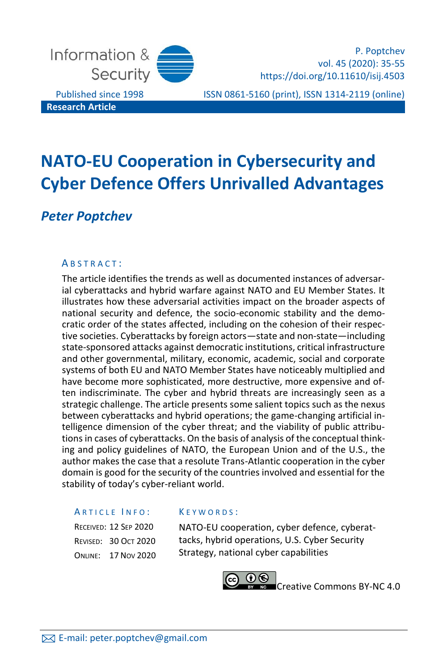

P. Poptchev vol. 45 (2020): 35-55 https://doi.org/10.11610/isij.4503

Published since 1998 ISSN 0861-5160 (print), ISSN 1314-2119 (online)

# **NATO-EU Cooperation in Cybersecurity and Cyber Defence Offers Unrivalled Advantages**

# *Peter Poptchev*

### A B S T R A C T :

The article identifies the trends as well as documented instances of adversarial cyberattacks and hybrid warfare against NATO and EU Member States. It illustrates how these adversarial activities impact on the broader aspects of national security and defence, the socio-economic stability and the democratic order of the states affected, including on the cohesion of their respective societies. Cyberattacks by foreign actors—state and non-state—including state-sponsored attacks against democratic institutions, critical infrastructure and other governmental, military, economic, academic, social and corporate systems of both EU and NATO Member States have noticeably multiplied and have become more sophisticated, more destructive, more expensive and often indiscriminate. The cyber and hybrid threats are increasingly seen as a strategic challenge. The article presents some salient topics such as the nexus between cyberattacks and hybrid operations; the game-changing artificial intelligence dimension of the cyber threat; and the viability of public attributions in cases of cyberattacks. On the basis of analysis of the conceptual thinking and policy guidelines of NATO, the European Union and of the U.S., the author makes the case that a resolute Trans-Atlantic cooperation in the cyber domain is good for the security of the countries involved and essential for the stability of today's cyber-reliant world.

#### ARTICLE INFO:

RECEIVED: 12 SEP 202 **REVISED: 30 OCT 202 ONLINE: 17 NOV 202** 

#### K E Y W O R D S :

| 20 | NATO-EU cooperation, cyber defence, cyberat-  |
|----|-----------------------------------------------|
| 20 | tacks, hybrid operations, U.S. Cyber Security |
| 20 | Strategy, national cyber capabilities         |

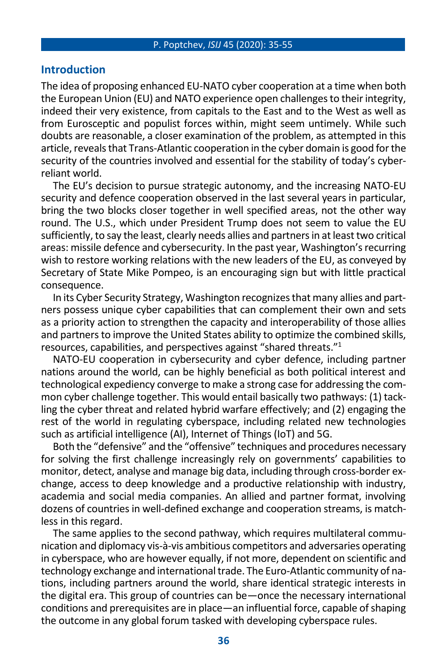### **Introduction**

The idea of proposing enhanced EU-NATO cyber cooperation at a time when both the European Union (EU) and NATO experience open challenges to their integrity, indeed their very existence, from capitals to the East and to the West as well as from Eurosceptic and populist forces within, might seem untimely. While such doubts are reasonable, a closer examination of the problem, as attempted in this article, reveals that Trans-Atlantic cooperation in the cyber domain is good for the security of the countries involved and essential for the stability of today's cyberreliant world.

The EU's decision to pursue strategic autonomy, and the increasing NATO-EU security and defence cooperation observed in the last several years in particular, bring the two blocks closer together in well specified areas, not the other way round. The U.S., which under President Trump does not seem to value the EU sufficiently, to say the least, clearly needs allies and partners in at least two critical areas: missile defence and cybersecurity. In the past year, Washington's recurring wish to restore working relations with the new leaders of the EU, as conveyed by Secretary of State Mike Pompeo, is an encouraging sign but with little practical consequence.

In its Cyber Security Strategy, Washington recognizes that many allies and partners possess unique cyber capabilities that can complement their own and sets as a priority action to strengthen the capacity and interoperability of those allies and partners to improve the United States ability to optimize the combined skills, resources, capabilities, and perspectives against "shared threats."<sup>1</sup>

NATO-EU cooperation in cybersecurity and cyber defence, including partner nations around the world, can be highly beneficial as both political interest and technological expediency converge to make a strong case for addressing the common cyber challenge together. This would entail basically two pathways: (1) tackling the cyber threat and related hybrid warfare effectively; and (2) engaging the rest of the world in regulating cyberspace, including related new technologies such as artificial intelligence (AI), Internet of Things (IoT) and 5G.

Both the "defensive" and the "offensive" techniques and procedures necessary for solving the first challenge increasingly rely on governments' capabilities to monitor, detect, analyse and manage big data, including through cross-border exchange, access to deep knowledge and a productive relationship with industry, academia and social media companies. An allied and partner format, involving dozens of countries in well-defined exchange and cooperation streams, is matchless in this regard.

The same applies to the second pathway, which requires multilateral communication and diplomacy vis-à-vis ambitious competitors and adversaries operating in cyberspace, who are however equally, if not more, dependent on scientific and technology exchange and international trade. The Euro-Atlantic community of nations, including partners around the world, share identical strategic interests in the digital era. This group of countries can be—once the necessary international conditions and prerequisites are in place—an influential force, capable of shaping the outcome in any global forum tasked with developing cyberspace rules.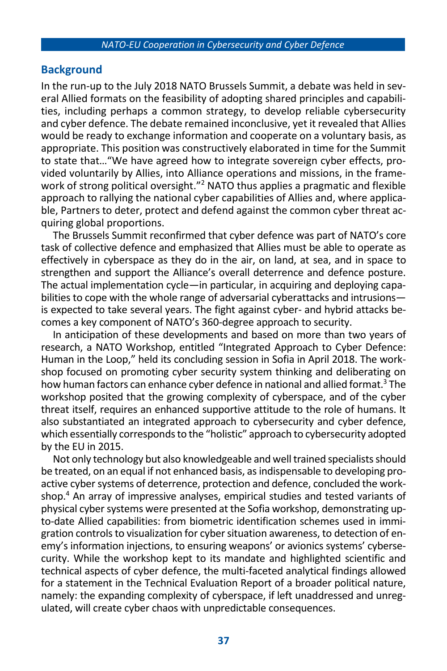### **Background**

In the run-up to the July 2018 NATO Brussels Summit, a debate was held in several Allied formats on the feasibility of adopting shared principles and capabilities, including perhaps a common strategy, to develop reliable cybersecurity and cyber defence. The debate remained inconclusive, yet it revealed that Allies would be ready to exchange information and cooperate on a voluntary basis, as appropriate. This position was constructively elaborated in time for the Summit to state that…"We have agreed how to integrate sovereign cyber effects, provided voluntarily by Allies, into Alliance operations and missions, in the framework of strong political oversight."<sup>2</sup> NATO thus applies a pragmatic and flexible approach to rallying the national cyber capabilities of Allies and, where applicable, Partners to deter, protect and defend against the common cyber threat acquiring global proportions.

The Brussels Summit reconfirmed that cyber defence was part of NATO's core task of collective defence and emphasized that Allies must be able to operate as effectively in cyberspace as they do in the air, on land, at sea, and in space to strengthen and support the Alliance's overall deterrence and defence posture. The actual implementation cycle—in particular, in acquiring and deploying capabilities to cope with the whole range of adversarial cyberattacks and intrusions is expected to take several years. The fight against cyber- and hybrid attacks becomes a key component of NATO's 360-degree approach to security.

In anticipation of these developments and based on more than two years of research, a NATO Workshop, entitled "Integrated Approach to Cyber Defence: Human in the Loop," held its concluding session in Sofia in April 2018. The workshop focused on promoting cyber security system thinking and deliberating on how human factors can enhance cyber defence in national and allied format.<sup>3</sup> The workshop posited that the growing complexity of cyberspace, and of the cyber threat itself, requires an enhanced supportive attitude to the role of humans. It also substantiated an integrated approach to cybersecurity and cyber defence, which essentially corresponds to the "holistic" approach to cybersecurity adopted by the EU in 2015.

Not only technology but also knowledgeable and well trained specialists should be treated, on an equal if not enhanced basis, as indispensable to developing proactive cyber systems of deterrence, protection and defence, concluded the workshop.<sup>4</sup> An array of impressive analyses, empirical studies and tested variants of physical cyber systems were presented at the Sofia workshop, demonstrating upto-date Allied capabilities: from biometric identification schemes used in immigration controls to visualization for cyber situation awareness, to detection of enemy's information injections, to ensuring weapons' or avionics systems' cybersecurity. While the workshop kept to its mandate and highlighted scientific and technical aspects of cyber defence, the multi-faceted analytical findings allowed for a statement in the Technical Evaluation Report of a broader political nature, namely: the expanding complexity of cyberspace, if left unaddressed and unregulated, will create cyber chaos with unpredictable consequences.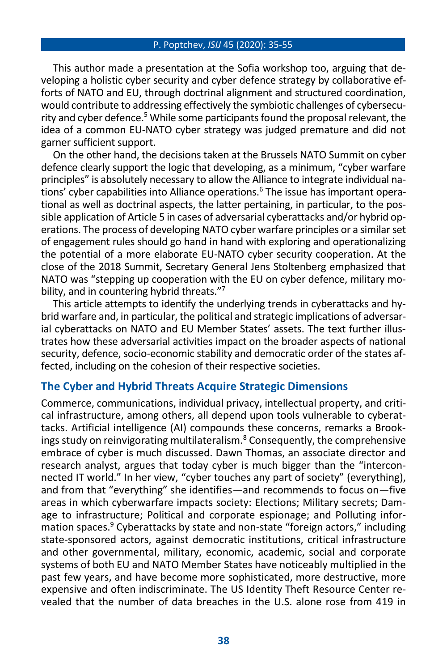This author made a presentation at the Sofia workshop too, arguing that developing a holistic cyber security and cyber defence strategy by collaborative efforts of NATO and EU, through doctrinal alignment and structured coordination, would contribute to addressing effectively the symbiotic challenges of cybersecurity and cyber defence.<sup>5</sup> While some participants found the proposal relevant, the idea of a common EU-NATO cyber strategy was judged premature and did not garner sufficient support.

On the other hand, the decisions taken at the Brussels NATO Summit on cyber defence clearly support the logic that developing, as a minimum, "cyber warfare principles" is absolutely necessary to allow the Alliance to integrate individual nations' cyber capabilities into Alliance operations.<sup>6</sup> The issue has important operational as well as doctrinal aspects, the latter pertaining, in particular, to the possible application of Article 5 in cases of adversarial cyberattacks and/or hybrid operations. The process of developing NATO cyber warfare principles or a similar set of engagement rules should go hand in hand with exploring and operationalizing the potential of a more elaborate EU-NATO cyber security cooperation. At the close of the 2018 Summit, Secretary General Jens Stoltenberg emphasized that NATO was "stepping up cooperation with the EU on cyber defence, military mobility, and in countering hybrid threats."7

This article attempts to identify the underlying trends in cyberattacks and hybrid warfare and, in particular, the political and strategic implications of adversarial cyberattacks on NATO and EU Member States' assets. The text further illustrates how these adversarial activities impact on the broader aspects of national security, defence, socio-economic stability and democratic order of the states affected, including on the cohesion of their respective societies.

### **The Cyber and Hybrid Threats Acquire Strategic Dimensions**

Commerce, communications, individual privacy, intellectual property, and critical infrastructure, among others, all depend upon tools vulnerable to cyberattacks. Artificial intelligence (AI) compounds these concerns, remarks a Brookings study on reinvigorating multilateralism. <sup>8</sup> Consequently, the comprehensive embrace of cyber is much discussed. Dawn Thomas, an associate director and research analyst, argues that today cyber is much bigger than the "interconnected IT world." In her view, "cyber touches any part of society" (everything), and from that "everything" she identifies—and recommends to focus on—five areas in which cyberwarfare impacts society: Elections; Military secrets; Damage to infrastructure; Political and corporate espionage; and Polluting information spaces.<sup>9</sup> Cyberattacks by state and non-state "foreign actors," including state-sponsored actors, against democratic institutions, critical infrastructure and other governmental, military, economic, academic, social and corporate systems of both EU and NATO Member States have noticeably multiplied in the past few years, and have become more sophisticated, more destructive, more expensive and often indiscriminate. The US Identity Theft Resource Center revealed that the number of data breaches in the U.S. alone rose from 419 in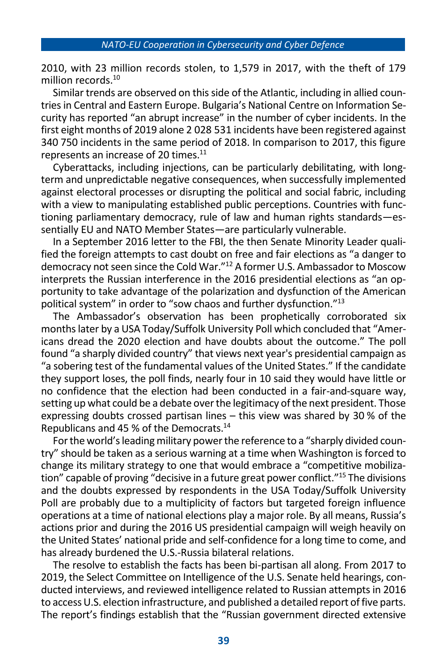2010, with 23 million records stolen, to 1,579 in 2017, with the theft of 179 million records.<sup>10</sup>

Similar trends are observed on this side of the Atlantic, including in allied countries in Central and Eastern Europe. Bulgaria's National Centre on Information Security has reported "an abrupt increase" in the number of cyber incidents. In the first eight months of 2019 alone 2 028 531 incidents have been registered against 340 750 incidents in the same period of 2018. In comparison to 2017, this figure represents an increase of 20 times.<sup>11</sup>

Cyberattacks, including injections, can be particularly debilitating, with longterm and unpredictable negative consequences, when successfully implemented against electoral processes or disrupting the political and social fabric, including with a view to manipulating established public perceptions. Countries with functioning parliamentary democracy, rule of law and human rights standards—essentially EU and NATO Member States—are particularly vulnerable.

In a September 2016 letter to the FBI, the then Senate Minority Leader qualified the foreign attempts to cast doubt on free and fair elections as "a danger to democracy not seen since the Cold War." <sup>12</sup> A former U.S. Ambassador to Moscow interprets the Russian interference in the 2016 presidential elections as "an opportunity to take advantage of the polarization and dysfunction of the American political system" in order to "sow chaos and further dysfunction." 13

The Ambassador's observation has been prophetically corroborated six months later by a USA Today/Suffolk University Poll which concluded that "Americans dread the 2020 election and have doubts about the outcome." The poll found "a sharply divided country" that views next year's presidential campaign as "a sobering test of the fundamental values of the United States." If the candidate they support loses, the poll finds, nearly four in 10 said they would have little or no confidence that the election had been conducted in a fair-and-square way, setting up what could be a debate over the legitimacy of the next president. Those expressing doubts crossed partisan lines – this view was shared by 30 % of the Republicans and 45 % of the Democrats.<sup>14</sup>

For the world's leading military power the reference to a "sharply divided country" should be taken as a serious warning at a time when Washington is forced to change its military strategy to one that would embrace a "competitive mobilization" capable of proving "decisive in a future great power conflict." <sup>15</sup> The divisions and the doubts expressed by respondents in the USA Today/Suffolk University Poll are probably due to a multiplicity of factors but targeted foreign influence operations at a time of national elections play a major role. By all means, Russia's actions prior and during the 2016 US presidential campaign will weigh heavily on the United States' national pride and self-confidence for a long time to come, and has already burdened the U.S.-Russia bilateral relations.

The resolve to establish the facts has been bi-partisan all along. From 2017 to 2019, the Select Committee on Intelligence of the U.S. Senate held hearings, conducted interviews, and reviewed intelligence related to Russian attempts in 2016 to access U.S. election infrastructure, and published a detailed report of five parts. The report's findings establish that the "Russian government directed extensive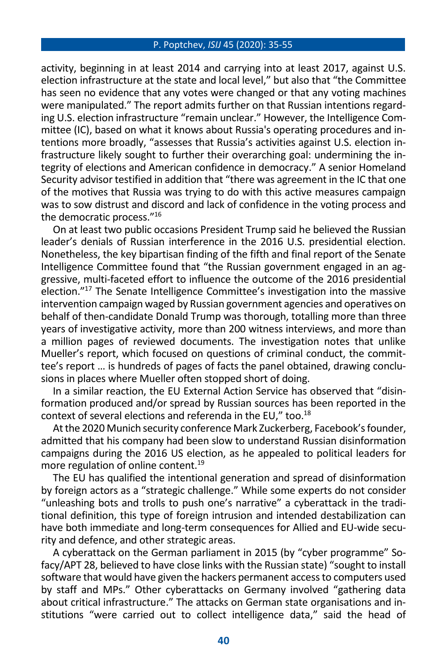activity, beginning in at least 2014 and carrying into at least 2017, against U.S. election infrastructure at the state and local level," but also that "the Committee has seen no evidence that any votes were changed or that any voting machines were manipulated." The report admits further on that Russian intentions regarding U.S. election infrastructure "remain unclear." However, the Intelligence Committee (IC), based on what it knows about Russia's operating procedures and intentions more broadly, "assesses that Russia's activities against U.S. election infrastructure likely sought to further their overarching goal: undermining the integrity of elections and American confidence in democracy." A senior Homeland Security advisor testified in addition that "there was agreement in the IC that one of the motives that Russia was trying to do with this active measures campaign was to sow distrust and discord and lack of confidence in the voting process and the democratic process."<sup>16</sup>

On at least two public occasions President Trump said he believed the Russian leader's denials of Russian interference in the 2016 U.S. presidential election. Nonetheless, the key bipartisan finding of the fifth and final report of the Senate Intelligence Committee found that "the Russian government engaged in an aggressive, multi-faceted effort to influence the outcome of the 2016 presidential election."<sup>17</sup> The Senate Intelligence Committee's investigation into the massive intervention campaign waged by Russian government agencies and operatives on behalf of then-candidate Donald Trump was thorough, totalling more than three years of investigative activity, more than 200 witness interviews, and more than a million pages of reviewed documents. The investigation notes that unlike Mueller's report, which focused on questions of criminal conduct, the committee's report … is hundreds of pages of facts the panel obtained, drawing conclusions in places where Mueller often stopped short of doing.

In a similar reaction, the EU External Action Service has observed that "disinformation produced and/or spread by Russian sources has been reported in the context of several elections and referenda in the EU," too.<sup>18</sup>

At the 2020 Munich security conference Mark Zuckerberg, Facebook's founder, admitted that his company had been slow to understand Russian disinformation campaigns during the 2016 US election, as he appealed to political leaders for more regulation of online content.<sup>19</sup>

The EU has qualified the intentional generation and spread of disinformation by foreign actors as a "strategic challenge." While some experts do not consider "unleashing bots and trolls to push one's narrative" a cyberattack in the traditional definition, this type of foreign intrusion and intended destabilization can have both immediate and long-term consequences for Allied and EU-wide security and defence, and other strategic areas.

A cyberattack on the German parliament in 2015 (by "cyber programme" Sofacy/APT 28, believed to have close links with the Russian state) "sought to install software that would have given the hackers permanent access to computers used by staff and MPs." Other cyberattacks on Germany involved "gathering data about critical infrastructure." The attacks on German state organisations and institutions "were carried out to collect intelligence data," said the head of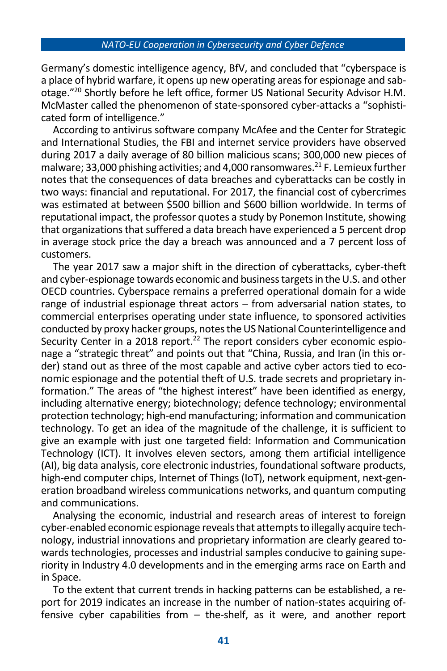Germany's domestic intelligence agency, BfV, and concluded that "cyberspace is a place of hybrid warfare, it opens up new operating areas for espionage and sabotage." <sup>20</sup> Shortly before he left office, former US National Security Advisor H.M. McMaster called the phenomenon of state-sponsored cyber-attacks a "sophisticated form of intelligence."

According to antivirus software company McAfee and the Center for Strategic and International Studies, the FBI and internet service providers have observed during 2017 a daily average of 80 billion malicious scans; 300,000 new pieces of malware: 33,000 phishing activities; and 4,000 ransomwares. $^{21}$  F. Lemieux further notes that the consequences of data breaches and cyberattacks can be costly in two ways: financial and reputational. For 2017, the financial cost of cybercrimes was estimated at between \$500 billion and \$600 billion worldwide. In terms of reputational impact, the professor quotes a study by Ponemon Institute, showing that organizations that suffered a data breach have experienced a 5 percent drop in average stock price the day a breach was announced and a 7 percent loss of customers.

The year 2017 saw a major shift in the direction of cyberattacks, cyber-theft and cyber-espionage towards economic and business targets in the U.S. and other OECD countries. Cyberspace remains a preferred operational domain for a wide range of industrial espionage threat actors – from adversarial nation states, to commercial enterprises operating under state influence, to sponsored activities conducted by proxy hacker groups, notes the US National Counterintelligence and Security Center in a 2018 report.<sup>22</sup> The report considers cyber economic espionage a "strategic threat" and points out that "China, Russia, and Iran (in this order) stand out as three of the most capable and active cyber actors tied to economic espionage and the potential theft of U.S. trade secrets and proprietary information." The areas of "the highest interest" have been identified as energy, including alternative energy; biotechnology; defence technology; environmental protection technology; high-end manufacturing; information and communication technology. To get an idea of the magnitude of the challenge, it is sufficient to give an example with just one targeted field: Information and Communication Technology (ICT). It involves eleven sectors, among them artificial intelligence (AI), big data analysis, core electronic industries, foundational software products, high-end computer chips, Internet of Things (IoT), network equipment, next-generation broadband wireless communications networks, and quantum computing and communications.

Analysing the economic, industrial and research areas of interest to foreign cyber-enabled economic espionage reveals that attempts to illegally acquire technology, industrial innovations and proprietary information are clearly geared towards technologies, processes and industrial samples conducive to gaining superiority in Industry 4.0 developments and in the emerging arms race on Earth and in Space.

To the extent that current trends in hacking patterns can be established, a report for 2019 indicates an increase in the number of nation-states acquiring offensive cyber capabilities from – the-shelf, as it were, and another report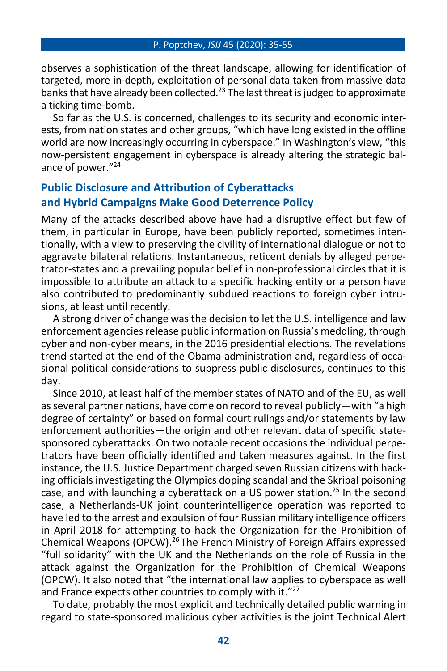observes a sophistication of the threat landscape, allowing for identification of targeted, more in-depth, exploitation of personal data taken from massive data banks that have already been collected.<sup>23</sup> The last threat is judged to approximate a ticking time-bomb.

So far as the U.S. is concerned, challenges to its security and economic interests, from nation states and other groups, "which have long existed in the offline world are now increasingly occurring in cyberspace." In Washington's view, "this now-persistent engagement in cyberspace is already altering the strategic balance of power." 24

## **Public Disclosure and Attribution of Cyberattacks and Hybrid Campaigns Make Good Deterrence Policy**

Many of the attacks described above have had a disruptive effect but few of them, in particular in Europe, have been publicly reported, sometimes intentionally, with a view to preserving the civility of international dialogue or not to aggravate bilateral relations. Instantaneous, reticent denials by alleged perpetrator-states and a prevailing popular belief in non-professional circles that it is impossible to attribute an attack to a specific hacking entity or a person have also contributed to predominantly subdued reactions to foreign cyber intrusions, at least until recently.

A strong driver of change was the decision to let the U.S. intelligence and law enforcement agencies release public information on Russia's meddling, through cyber and non-cyber means, in the 2016 presidential elections. The revelations trend started at the end of the Obama administration and, regardless of occasional political considerations to suppress public disclosures, continues to this day.

Since 2010, at least half of the member states of NATO and of the EU, as well as several partner nations, have come on record to reveal publicly—with "a high degree of certainty" or based on formal court rulings and/or statements by law enforcement authorities—the origin and other relevant data of specific statesponsored cyberattacks. On two notable recent occasions the individual perpetrators have been officially identified and taken measures against. In the first instance, the U.S. Justice Department charged seven Russian citizens with hacking officials investigating the Olympics doping scandal and the Skripal poisoning case, and with launching a cyberattack on a US power station. <sup>25</sup> In the second case, a Netherlands-UK joint counterintelligence operation was reported to have led to the arrest and expulsion of four Russian military intelligence officers in April 2018 for attempting to hack the Organization for the Prohibition of Chemical Weapons (OPCW).<sup>26</sup> The French Ministry of Foreign Affairs expressed "full solidarity" with the UK and the Netherlands on the role of Russia in the attack against the Organization for the Prohibition of Chemical Weapons (OPCW). It also noted that "the international law applies to cyberspace as well and France expects other countries to comply with it."<sup>27</sup>

To date, probably the most explicit and technically detailed public warning in regard to state-sponsored malicious cyber activities is the joint Technical Alert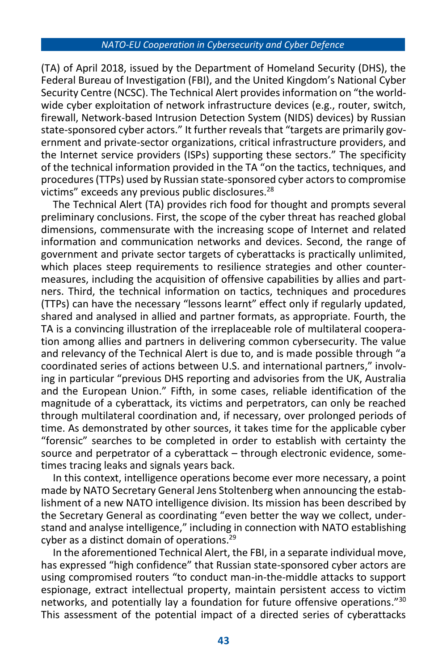(TA) of April 2018, issued by the Department of Homeland Security (DHS), the Federal Bureau of Investigation (FBI), and the United Kingdom's National Cyber Security Centre (NCSC). The Technical Alert provides information on "the worldwide cyber exploitation of network infrastructure devices (e.g., router, switch, firewall, Network-based Intrusion Detection System (NIDS) devices) by Russian state-sponsored cyber actors." It further reveals that "targets are primarily government and private-sector organizations, critical infrastructure providers, and the Internet service providers (ISPs) supporting these sectors." The specificity of the technical information provided in the TA "on the tactics, techniques, and procedures (TTPs) used by Russian state-sponsored cyber actors to compromise victims" exceeds any previous public disclosures.<sup>28</sup>

The Technical Alert (TA) provides rich food for thought and prompts several preliminary conclusions. First, the scope of the cyber threat has reached global dimensions, commensurate with the increasing scope of Internet and related information and communication networks and devices. Second, the range of government and private sector targets of cyberattacks is practically unlimited, which places steep requirements to resilience strategies and other countermeasures, including the acquisition of offensive capabilities by allies and partners. Third, the technical information on tactics, techniques and procedures (TTPs) can have the necessary "lessons learnt" effect only if regularly updated, shared and analysed in allied and partner formats, as appropriate. Fourth, the TA is a convincing illustration of the irreplaceable role of multilateral cooperation among allies and partners in delivering common cybersecurity. The value and relevancy of the Technical Alert is due to, and is made possible through "a coordinated series of actions between U.S. and international partners," involving in particular "previous DHS reporting and advisories from the UK, Australia and the European Union." Fifth, in some cases, reliable identification of the magnitude of a cyberattack, its victims and perpetrators, can only be reached through multilateral coordination and, if necessary, over prolonged periods of time. As demonstrated by other sources, it takes time for the applicable cyber "forensic" searches to be completed in order to establish with certainty the source and perpetrator of a cyberattack – through electronic evidence, sometimes tracing leaks and signals years back.

In this context, intelligence operations become ever more necessary, a point made by NATO Secretary General Jens Stoltenberg when announcing the establishment of a new NATO intelligence division. Its mission has been described by the Secretary General as coordinating "even better the way we collect, understand and analyse intelligence," including in connection with NATO establishing cyber as a distinct domain of operations. 29

In the aforementioned Technical Alert, the FBI, in a separate individual move, has expressed "high confidence" that Russian state-sponsored cyber actors are using compromised routers "to conduct man-in-the-middle attacks to support espionage, extract intellectual property, maintain persistent access to victim networks, and potentially lay a foundation for future offensive operations." 30 This assessment of the potential impact of a directed series of cyberattacks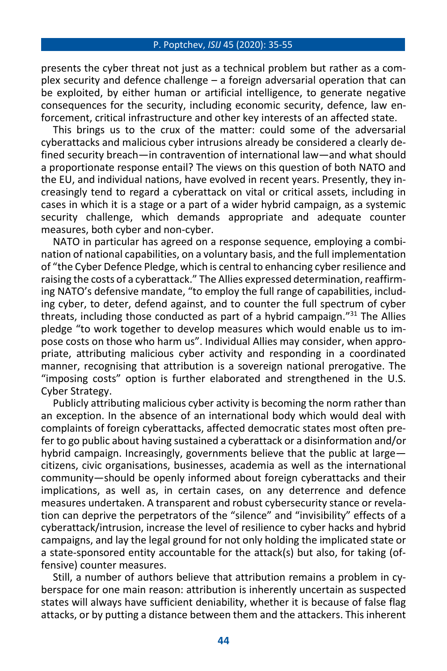presents the cyber threat not just as a technical problem but rather as a complex security and defence challenge – a foreign adversarial operation that can be exploited, by either human or artificial intelligence, to generate negative consequences for the security, including economic security, defence, law enforcement, critical infrastructure and other key interests of an affected state.

This brings us to the crux of the matter: could some of the adversarial cyberattacks and malicious cyber intrusions already be considered a clearly defined security breach—in contravention of international law—and what should a proportionate response entail? The views on this question of both NATO and the EU, and individual nations, have evolved in recent years. Presently, they increasingly tend to regard a cyberattack on vital or critical assets, including in cases in which it is a stage or a part of a wider hybrid campaign, as a systemic security challenge, which demands appropriate and adequate counter measures, both cyber and non-cyber.

NATO in particular has agreed on a response sequence, employing a combination of national capabilities, on a voluntary basis, and the full implementation of "the Cyber Defence Pledge, which is central to enhancing cyber resilience and raising the costs of a cyberattack." The Allies expressed determination, reaffirming NATO's defensive mandate, "to employ the full range of capabilities, including cyber, to deter, defend against, and to counter the full spectrum of cyber threats, including those conducted as part of a hybrid campaign."<sup>31</sup> The Allies pledge "to work together to develop measures which would enable us to impose costs on those who harm us". Individual Allies may consider, when appropriate, attributing malicious cyber activity and responding in a coordinated manner, recognising that attribution is a sovereign national prerogative. The "imposing costs" option is further elaborated and strengthened in the U.S. Cyber Strategy.

Publicly attributing malicious cyber activity is becoming the norm rather than an exception. In the absence of an international body which would deal with complaints of foreign cyberattacks, affected democratic states most often prefer to go public about having sustained a cyberattack or a disinformation and/or hybrid campaign. Increasingly, governments believe that the public at large citizens, civic organisations, businesses, academia as well as the international community—should be openly informed about foreign cyberattacks and their implications, as well as, in certain cases, on any deterrence and defence measures undertaken. A transparent and robust cybersecurity stance or revelation can deprive the perpetrators of the "silence" and "invisibility" effects of a cyberattack/intrusion, increase the level of resilience to cyber hacks and hybrid campaigns, and lay the legal ground for not only holding the implicated state or a state-sponsored entity accountable for the attack(s) but also, for taking (offensive) counter measures.

Still, a number of authors believe that attribution remains a problem in cyberspace for one main reason: attribution is inherently uncertain as suspected states will always have sufficient deniability, whether it is because of false flag attacks, or by putting a distance between them and the attackers. This inherent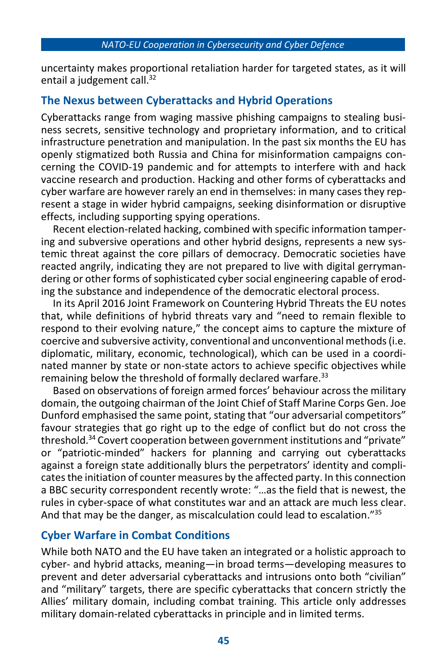uncertainty makes proportional retaliation harder for targeted states, as it will entail a judgement call.<sup>32</sup>

# **The Nexus between Cyberattacks and Hybrid Operations**

Cyberattacks range from waging massive phishing campaigns to stealing business secrets, sensitive technology and proprietary information, and to critical infrastructure penetration and manipulation. In the past six months the EU has openly stigmatized both Russia and China for misinformation campaigns concerning the COVID-19 pandemic and for attempts to interfere with and hack vaccine research and production. Hacking and other forms of cyberattacks and cyber warfare are however rarely an end in themselves: in many cases they represent a stage in wider hybrid campaigns, seeking disinformation or disruptive effects, including supporting spying operations.

Recent election-related hacking, combined with specific information tampering and subversive operations and other hybrid designs, represents a new systemic threat against the core pillars of democracy. Democratic societies have reacted angrily, indicating they are not prepared to live with digital gerrymandering or other forms of sophisticated cyber social engineering capable of eroding the substance and independence of the democratic electoral process.

In its April 2016 Joint Framework on Countering Hybrid Threats the EU notes that, while definitions of hybrid threats vary and "need to remain flexible to respond to their evolving nature," the concept aims to capture the mixture of coercive and subversive activity, conventional and unconventional methods (i.e. diplomatic, military, economic, technological), which can be used in a coordinated manner by state or non-state actors to achieve specific objectives while remaining below the threshold of formally declared warfare.<sup>33</sup>

Based on observations of foreign armed forces' behaviour across the military domain, the outgoing chairman of the Joint Chief of Staff Marine Corps Gen. Joe Dunford emphasised the same point, stating that "our adversarial competitors" favour strategies that go right up to the edge of conflict but do not cross the threshold.<sup>34</sup> Covert cooperation between government institutions and "private" or "patriotic-minded" hackers for planning and carrying out cyberattacks against a foreign state additionally blurs the perpetrators' identity and complicates the initiation of counter measures by the affected party. In this connection a BBC security correspondent recently wrote: "…as the field that is newest, the rules in cyber-space of what constitutes war and an attack are much less clear. And that may be the danger, as miscalculation could lead to escalation."<sup>35</sup>

## **Cyber Warfare in Combat Conditions**

While both NATO and the EU have taken an integrated or a holistic approach to cyber- and hybrid attacks, meaning—in broad terms—developing measures to prevent and deter adversarial cyberattacks and intrusions onto both "civilian" and "military" targets, there are specific cyberattacks that concern strictly the Allies' military domain, including combat training. This article only addresses military domain-related cyberattacks in principle and in limited terms.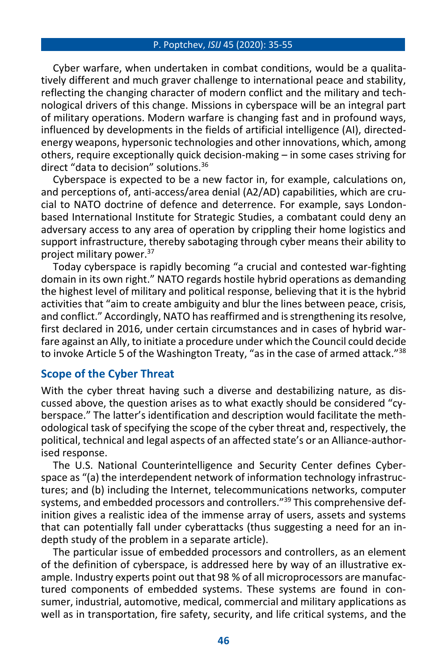Cyber warfare, when undertaken in combat conditions, would be a qualitatively different and much graver challenge to international peace and stability, reflecting the changing character of modern conflict and the military and technological drivers of this change. Missions in cyberspace will be an integral part of military operations. Modern warfare is changing fast and in profound ways, influenced by developments in the fields of artificial intelligence (AI), directedenergy weapons, hypersonic technologies and other innovations, which, among others, require exceptionally quick decision-making – in some cases striving for direct "data to decision" solutions.<sup>36</sup>

Cyberspace is expected to be a new factor in, for example, calculations on, and perceptions of, anti-access/area denial (A2/AD) capabilities, which are crucial to NATO doctrine of defence and deterrence. For example, says Londonbased International Institute for Strategic Studies, a combatant could deny an adversary access to any area of operation by crippling their home logistics and support infrastructure, thereby sabotaging through cyber means their ability to project military power.<sup>37</sup>

Today cyberspace is rapidly becoming "a crucial and contested war-fighting domain in its own right." NATO regards hostile hybrid operations as demanding the highest level of military and political response, believing that it is the hybrid activities that "aim to create ambiguity and blur the lines between peace, crisis, and conflict." Accordingly, NATO has reaffirmed and is strengthening its resolve, first declared in 2016, under certain circumstances and in cases of hybrid warfare against an Ally, to initiate a procedure under which the Council could decide to invoke Article 5 of the Washington Treaty, "as in the case of armed attack." 38

### **Scope of the Cyber Threat**

With the cyber threat having such a diverse and destabilizing nature, as discussed above, the question arises as to what exactly should be considered "cyberspace." The latter's identification and description would facilitate the methodological task of specifying the scope of the cyber threat and, respectively, the political, technical and legal aspects of an affected state's or an Alliance-authorised response.

The U.S. National Counterintelligence and Security Center defines Cyberspace as "(a) the interdependent network of information technology infrastructures; and (b) including the Internet, telecommunications networks, computer systems, and embedded processors and controllers."<sup>39</sup> This comprehensive definition gives a realistic idea of the immense array of users, assets and systems that can potentially fall under cyberattacks (thus suggesting a need for an indepth study of the problem in a separate article).

The particular issue of embedded processors and controllers, as an element of the definition of cyberspace, is addressed here by way of an illustrative example. Industry experts point out that 98 % of all microprocessors are manufactured components of embedded systems. These systems are found in consumer, industrial, automotive, medical, commercial and military applications as well as in transportation, fire safety, security, and life critical systems, and the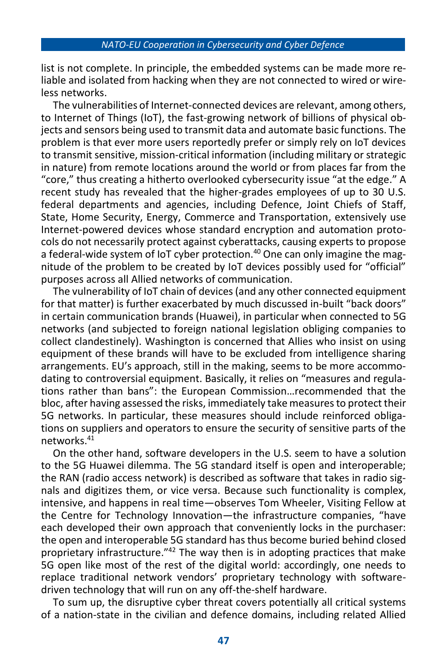list is not complete. In principle, the embedded systems can be made more reliable and isolated from hacking when they are not connected to wired or wireless networks.

The vulnerabilities of Internet-connected devices are relevant, among others, to Internet of Things (IoT), the fast-growing network of billions of physical objects and sensors being used to transmit data and automate basic functions. The problem is that ever more users reportedly prefer or simply rely on IoT devices to transmit sensitive, mission-critical information (including military or strategic in nature) from remote locations around the world or from places far from the "core," thus creating a hitherto overlooked cybersecurity issue "at the edge." A recent study has revealed that the higher-grades employees of up to 30 U.S. federal departments and agencies, including Defence, Joint Chiefs of Staff, State, Home Security, Energy, Commerce and Transportation, extensively use Internet-powered devices whose standard encryption and automation protocols do not necessarily protect against cyberattacks, causing experts to propose a federal-wide system of IoT cyber protection.<sup>40</sup> One can only imagine the magnitude of the problem to be created by IoT devices possibly used for "official" purposes across all Allied networks of communication.

The vulnerability of IoT chain of devices (and any other connected equipment for that matter) is further exacerbated by much discussed in-built "back doors" in certain communication brands (Huawei), in particular when connected to 5G networks (and subjected to foreign national legislation obliging companies to collect clandestinely). Washington is concerned that Allies who insist on using equipment of these brands will have to be excluded from intelligence sharing arrangements. EU's approach, still in the making, seems to be more accommodating to controversial equipment. Basically, it relies on "measures and regulations rather than bans": the European Commission…recommended that the bloc, after having assessed the risks, immediately take measures to protect their 5G networks. In particular, these measures should include reinforced obligations on suppliers and operators to ensure the security of sensitive parts of the networks.<sup>41</sup>

On the other hand, software developers in the U.S. seem to have a solution to the 5G Huawei dilemma. The 5G standard itself is open and interoperable; the RAN (radio access network) is described as software that takes in radio signals and digitizes them, or vice versa. Because such functionality is complex, intensive, and happens in real time—observes Tom Wheeler, Visiting Fellow at the Centre for Technology Innovation—the infrastructure companies, "have each developed their own approach that conveniently locks in the purchaser: the open and interoperable 5G standard has thus become buried behind closed proprietary infrastructure."<sup>42</sup> The way then is in adopting practices that make 5G open like most of the rest of the digital world: accordingly, one needs to replace traditional network vendors' proprietary technology with softwaredriven technology that will run on any off-the-shelf hardware.

To sum up, the disruptive cyber threat covers potentially all critical systems of a nation-state in the civilian and defence domains, including related Allied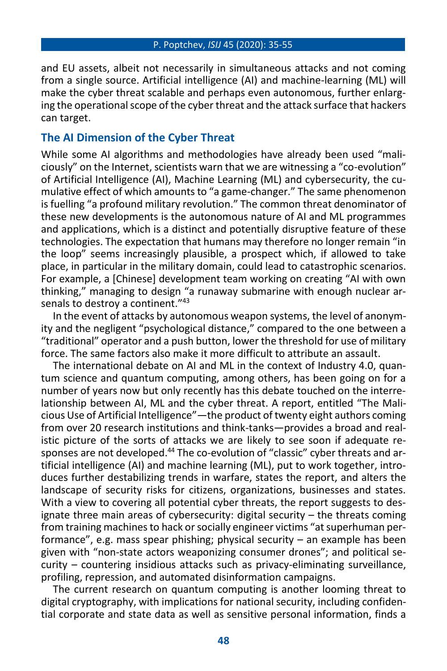and EU assets, albeit not necessarily in simultaneous attacks and not coming from a single source. Artificial intelligence (AI) and machine-learning (ML) will make the cyber threat scalable and perhaps even autonomous, further enlarging the operational scope of the cyber threat and the attack surface that hackers can target.

### **The AI Dimension of the Cyber Threat**

While some AI algorithms and methodologies have already been used "maliciously" on the Internet, scientists warn that we are witnessing a "co-evolution" of Artificial Intelligence (AI), Machine Learning (ML) and cybersecurity, the cumulative effect of which amounts to "a game-changer." The same phenomenon is fuelling "a profound military revolution." The common threat denominator of these new developments is the autonomous nature of AI and ML programmes and applications, which is a distinct and potentially disruptive feature of these technologies. The expectation that humans may therefore no longer remain "in the loop" seems increasingly plausible, a prospect which, if allowed to take place, in particular in the military domain, could lead to catastrophic scenarios. For example, a [Chinese] development team working on creating "AI with own thinking," managing to design "a runaway submarine with enough nuclear arsenals to destroy a continent."43

In the event of attacks by autonomous weapon systems, the level of anonymity and the negligent "psychological distance," compared to the one between a "traditional" operator and a push button, lower the threshold for use of military force. The same factors also make it more difficult to attribute an assault.

The international debate on AI and ML in the context of Industry 4.0, quantum science and quantum computing, among others, has been going on for a number of years now but only recently has this debate touched on the interrelationship between AI, ML and the cyber threat. A report, entitled "The Malicious Use of Artificial Intelligence"—the product of twenty eight authors coming from over 20 research institutions and think-tanks—provides a broad and realistic picture of the sorts of attacks we are likely to see soon if adequate responses are not developed.<sup>44</sup> The co-evolution of "classic" cyber threats and artificial intelligence (AI) and machine learning (ML), put to work together, introduces further destabilizing trends in warfare, states the report, and alters the landscape of security risks for citizens, organizations, businesses and states. With a view to covering all potential cyber threats, the report suggests to designate three main areas of cybersecurity: digital security – the threats coming from training machines to hack or socially engineer victims "at superhuman performance", e.g. mass spear phishing; physical security – an example has been given with "non-state actors weaponizing consumer drones"; and political security – countering insidious attacks such as privacy-eliminating surveillance, profiling, repression, and automated disinformation campaigns.

The current research on quantum computing is another looming threat to digital cryptography, with implications for national security, including confidential corporate and state data as well as sensitive personal information, finds a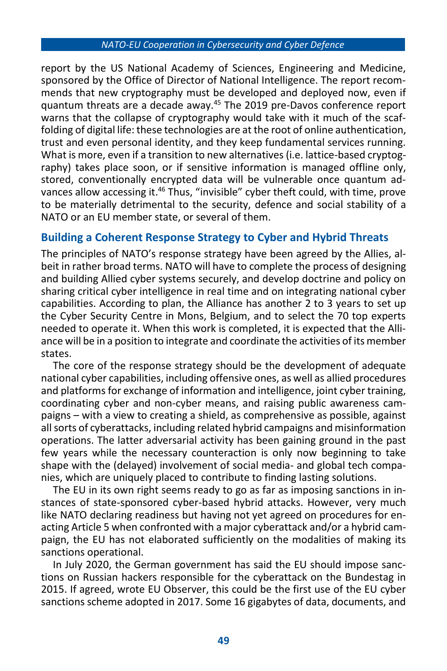report by the US National Academy of Sciences, Engineering and Medicine, sponsored by the Office of Director of National Intelligence. The report recommends that new cryptography must be developed and deployed now, even if quantum threats are a decade away.<sup>45</sup> The 2019 pre-Davos conference report warns that the collapse of cryptography would take with it much of the scaffolding of digital life: these technologies are at the root of online authentication, trust and even personal identity, and they keep fundamental services running. What is more, even if a transition to new alternatives (i.e. lattice-based cryptography) takes place soon, or if sensitive information is managed offline only, stored, conventionally encrypted data will be vulnerable once quantum advances allow accessing it.<sup>46</sup> Thus, "invisible" cyber theft could, with time, prove to be materially detrimental to the security, defence and social stability of a NATO or an EU member state, or several of them.

### **Building a Coherent Response Strategy to Cyber and Hybrid Threats**

The principles of NATO's response strategy have been agreed by the Allies, albeit in rather broad terms. NATO will have to complete the process of designing and building Allied cyber systems securely, and develop doctrine and policy on sharing critical cyber intelligence in real time and on integrating national cyber capabilities. According to plan, the Alliance has another 2 to 3 years to set up the Cyber Security Centre in Mons, Belgium, and to select the 70 top experts needed to operate it. When this work is completed, it is expected that the Alliance will be in a position to integrate and coordinate the activities of its member states.

The core of the response strategy should be the development of adequate national cyber capabilities, including offensive ones, as well as allied procedures and platforms for exchange of information and intelligence, joint cyber training, coordinating cyber and non-cyber means, and raising public awareness campaigns – with a view to creating a shield, as comprehensive as possible, against all sorts of cyberattacks, including related hybrid campaigns and misinformation operations. The latter adversarial activity has been gaining ground in the past few years while the necessary counteraction is only now beginning to take shape with the (delayed) involvement of social media- and global tech companies, which are uniquely placed to contribute to finding lasting solutions.

The EU in its own right seems ready to go as far as imposing sanctions in instances of state-sponsored cyber-based hybrid attacks. However, very much like NATO declaring readiness but having not yet agreed on procedures for enacting Article 5 when confronted with a major cyberattack and/or a hybrid campaign, the EU has not elaborated sufficiently on the modalities of making its sanctions operational.

In July 2020, the German government has said the EU should impose sanctions on Russian hackers responsible for the cyberattack on the Bundestag in 2015. If agreed, wrote EU Observer, this could be the first use of the EU cyber sanctions scheme adopted in 2017. Some 16 gigabytes of data, documents, and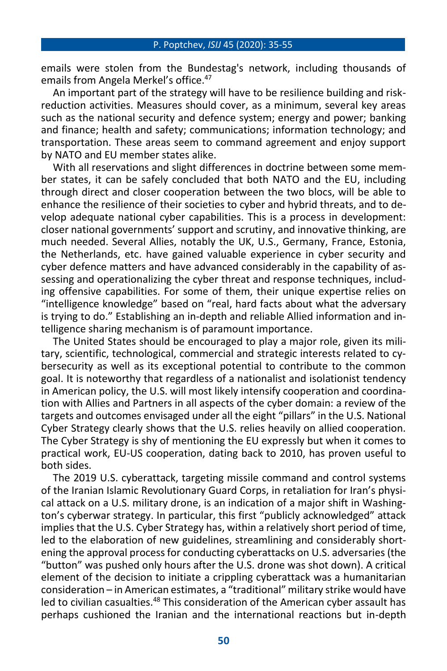emails were stolen from the Bundestag's network, including thousands of emails from Angela Merkel's office.<sup>47</sup>

An important part of the strategy will have to be resilience building and riskreduction activities. Measures should cover, as a minimum, several key areas such as the national security and defence system; energy and power; banking and finance; health and safety; communications; information technology; and transportation. These areas seem to command agreement and enjoy support by NATO and EU member states alike.

With all reservations and slight differences in doctrine between some member states, it can be safely concluded that both NATO and the EU, including through direct and closer cooperation between the two blocs, will be able to enhance the resilience of their societies to cyber and hybrid threats, and to develop adequate national cyber capabilities. This is a process in development: closer national governments' support and scrutiny, and innovative thinking, are much needed. Several Allies, notably the UK, U.S., Germany, France, Estonia, the Netherlands, etc. have gained valuable experience in cyber security and cyber defence matters and have advanced considerably in the capability of assessing and operationalizing the cyber threat and response techniques, including offensive capabilities. For some of them, their unique expertise relies on "intelligence knowledge" based on "real, hard facts about what the adversary is trying to do." Establishing an in-depth and reliable Allied information and intelligence sharing mechanism is of paramount importance.

The United States should be encouraged to play a major role, given its military, scientific, technological, commercial and strategic interests related to cybersecurity as well as its exceptional potential to contribute to the common goal. It is noteworthy that regardless of a nationalist and isolationist tendency in American policy, the U.S. will most likely intensify cooperation and coordination with Allies and Partners in all aspects of the cyber domain: a review of the targets and outcomes envisaged under all the eight "pillars" in the U.S. National Cyber Strategy clearly shows that the U.S. relies heavily on allied cooperation. The Cyber Strategy is shy of mentioning the EU expressly but when it comes to practical work, EU-US cooperation, dating back to 2010, has proven useful to both sides.

The 2019 U.S. cyberattack, targeting missile command and control systems of the Iranian Islamic Revolutionary Guard Corps, in retaliation for Iran's physical attack on a U.S. military drone, is an indication of a major shift in Washington's cyberwar strategy. In particular, this first "publicly acknowledged" attack implies that the U.S. Cyber Strategy has, within a relatively short period of time, led to the elaboration of new guidelines, streamlining and considerably shortening the approval process for conducting cyberattacks on U.S. adversaries (the "button" was pushed only hours after the U.S. drone was shot down). A critical element of the decision to initiate a crippling cyberattack was a humanitarian consideration – in American estimates, a "traditional" military strike would have led to civilian casualties.<sup>48</sup> This consideration of the American cyber assault has perhaps cushioned the Iranian and the international reactions but in-depth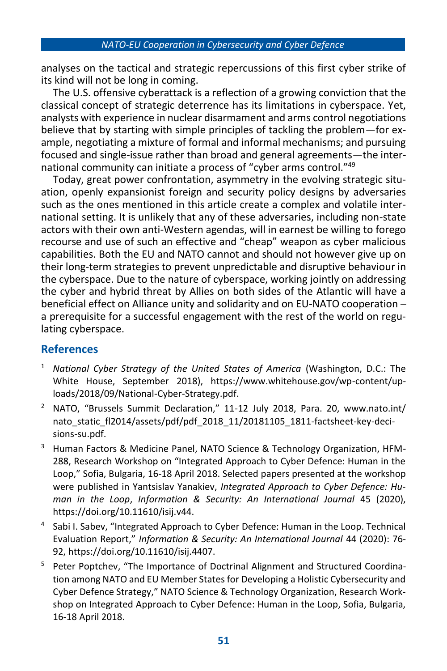analyses on the tactical and strategic repercussions of this first cyber strike of its kind will not be long in coming.

The U.S. offensive cyberattack is a reflection of a growing conviction that the classical concept of strategic deterrence has its limitations in cyberspace. Yet, analysts with experience in nuclear disarmament and arms control negotiations believe that by starting with simple principles of tackling the problem—for example, negotiating a mixture of formal and informal mechanisms; and pursuing focused and single-issue rather than broad and general agreements—the international community can initiate a process of "cyber arms control."<sup>49</sup>

Today, great power confrontation, asymmetry in the evolving strategic situation, openly expansionist foreign and security policy designs by adversaries such as the ones mentioned in this article create a complex and volatile international setting. It is unlikely that any of these adversaries, including non-state actors with their own anti-Western agendas, will in earnest be willing to forego recourse and use of such an effective and "cheap" weapon as cyber malicious capabilities. Both the EU and NATO cannot and should not however give up on their long-term strategies to prevent unpredictable and disruptive behaviour in the cyberspace. Due to the nature of cyberspace, working jointly on addressing the cyber and hybrid threat by Allies on both sides of the Atlantic will have a beneficial effect on Alliance unity and solidarity and on EU-NATO cooperation – a prerequisite for a successful engagement with the rest of the world on regulating cyberspace.

# **References**

- <sup>1</sup> *National Cyber Strategy of the United States of America* (Washington, D.C.: The White House, September 2018), https://www.whitehouse.gov/wp-content/uploads/2018/09/National-Cyber-Strategy.pdf.
- <sup>2</sup> NATO, "Brussels Summit Declaration," 11-12 July 2018, Para. 20, www.nato.int/ nato\_static\_fl2014/assets/pdf/pdf\_2018\_11/20181105\_1811-factsheet-key-decisions-su.pdf.
- <sup>3</sup> Human Factors & Medicine Panel, NATO Science & Technology Organization, HFM-288, Research Workshop on "Integrated Approach to Cyber Defence: Human in the Loop," Sofia, Bulgaria, 16-18 April 2018. Selected papers presented at the workshop were published in Yantsislav Yanakiev, *Integrated Approach to Cyber Defence: Human in the Loop*, *Information & Security: An International Journal* 45 (2020), https://doi.org/10.11610/isij.v44.
- 4 Sabi I. Sabev, "Integrated Approach to Cyber Defence: Human in the Loop. Technical Evaluation Report," *Information & Security: An International Journal* 44 (2020): 76- 92, https://doi.org/10.11610/isij.4407.
- <sup>5</sup> Peter Poptchev, "The Importance of Doctrinal Alignment and Structured Coordination among NATO and EU Member States for Developing a Holistic Cybersecurity and Cyber Defence Strategy," NATO Science & Technology Organization, Research Workshop on Integrated Approach to Cyber Defence: Human in the Loop, Sofia, Bulgaria, 16-18 April 2018.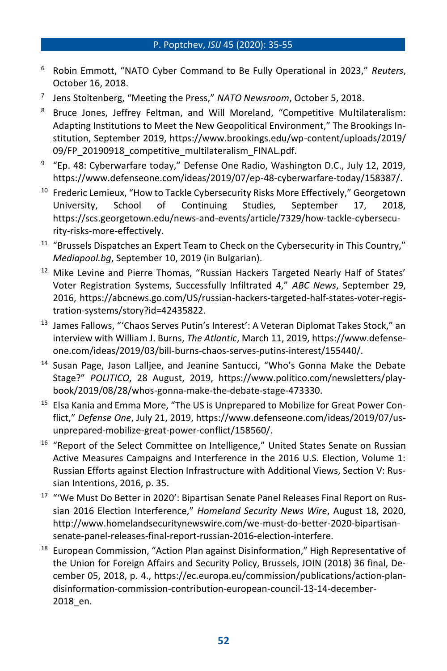- <sup>6</sup> Robin Emmott, "NATO Cyber Command to Be Fully Operational in 2023," *Reuters*, October 16, 2018.
- 7 Jens Stoltenberg, "Meeting the Press," *NATO Newsroom*, October 5, 2018.
- <sup>8</sup> Bruce Jones, Jeffrey Feltman, and Will Moreland, "Competitive Multilateralism: Adapting Institutions to Meet the New Geopolitical Environment," The Brookings Institution, September 2019, https://www.brookings.edu/wp-content/uploads/2019/ 09/FP\_20190918\_competitive\_multilateralism\_FINAL.pdf.
- <sup>9</sup> "Ep. 48: Cyberwarfare today," Defense One Radio, Washington D.C., July 12, 2019, https://www.defenseone.com/ideas/2019/07/ep-48-cyberwarfare-today/158387/.
- <sup>10</sup> Frederic Lemieux, "How to Tackle Cybersecurity Risks More Effectively," Georgetown University, School of Continuing Studies, September 17, 2018, https://scs.georgetown.edu/news-and-events/article/7329/how-tackle-cybersecurity-risks-more-effectively.
- $11$  "Brussels Dispatches an Expert Team to Check on the Cybersecurity in This Country," *Mediapool.bg*, September 10, 2019 (in Bulgarian).
- <sup>12</sup> Mike Levine and Pierre Thomas, "Russian Hackers Targeted Nearly Half of States' Voter Registration Systems, Successfully Infiltrated 4," *ABC News*, September 29, 2016, https://abcnews.go.com/US/russian-hackers-targeted-half-states-voter-registration-systems/story?id=42435822.
- <sup>13</sup> James Fallows, "'Chaos Serves Putin's Interest': A Veteran Diplomat Takes Stock," an interview with William J. Burns, *The Atlantic*, March 11, 2019, https://www.defenseone.com/ideas/2019/03/bill-burns-chaos-serves-putins-interest/155440/.
- <sup>14</sup> Susan Page, Jason Lalliee, and Jeanine Santucci, "Who's Gonna Make the Debate Stage?" *POLITICO*, 28 August, 2019, https://www.politico.com/newsletters/playbook/2019/08/28/whos-gonna-make-the-debate-stage-473330.
- <sup>15</sup> Elsa Kania and Emma More, "The US is Unprepared to Mobilize for Great Power Conflict," *Defense One*, July 21, 2019, https://www.defenseone.com/ideas/2019/07/usunprepared-mobilize-great-power-conflict/158560/.
- <sup>16</sup> "Report of the Select Committee on Intelligence," United States Senate on Russian Active Measures Campaigns and Interference in the 2016 U.S. Election, Volume 1: Russian Efforts against Election Infrastructure with Additional Views, Section V: Russian Intentions, 2016, p. 35.
- <sup>17</sup> "We Must Do Better in 2020': Bipartisan Senate Panel Releases Final Report on Russian 2016 Election Interference," *Homeland Security News Wire*, August 18, 2020, http://www.homelandsecuritynewswire.com/we-must-do-better-2020-bipartisansenate-panel-releases-final-report-russian-2016-election-interfere.
- $18$  European Commission, "Action Plan against Disinformation," High Representative of the Union for Foreign Affairs and Security Policy, Brussels, JOIN (2018) 36 final, December 05, 2018, p. 4., https://ec.europa.eu/commission/publications/action-plandisinformation-commission-contribution-european-council-13-14-december-2018\_en.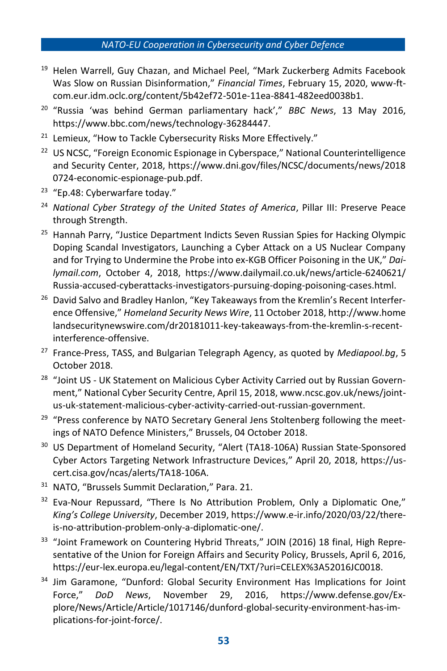- <sup>19</sup> Helen Warrell, Guy Chazan, and Michael Peel, "Mark Zuckerberg Admits Facebook Was Slow on Russian Disinformation," *Financial Times*, February 15, 2020, www-ftcom.eur.idm.oclc.org/content/5b42ef72-501e-11ea-8841-482eed0038b1.
- <sup>20</sup> "Russia 'was behind German parliamentary hack'," *BBC News*, 13 May 2016, https://www.bbc.com/news/technology-36284447.
- <sup>21</sup> Lemieux, "How to Tackle Cybersecurity Risks More Effectively."
- <sup>22</sup> US NCSC, "Foreign Economic Espionage in Cyberspace," National Counterintelligence and Security Center, 2018, https://www.dni.gov/files/NCSC/documents/news/2018 0724-economic-espionage-pub.pdf.
- <sup>23</sup> "Ep.48: Cyberwarfare today."
- <sup>24</sup> National Cyber Strategy of the United States of America, Pillar III: Preserve Peace through Strength.
- <sup>25</sup> Hannah Parry, "Justice Department Indicts Seven Russian Spies for Hacking Olympic Doping Scandal Investigators, Launching a Cyber Attack on a US Nuclear Company and for Trying to Undermine the Probe into ex-KGB Officer Poisoning in the UK," *Dailymail.com*, October 4, 2018, https://www.dailymail.co.uk/news/article-6240621/ Russia-accused-cyberattacks-investigators-pursuing-doping-poisoning-cases.html.
- <sup>26</sup> David Salvo and Bradley Hanlon, "Key Takeaways from the Kremlin's Recent Interference Offensive," *Homeland Security News Wire*, 11 October 2018, http://www.home landsecuritynewswire.com/dr20181011-key-takeaways-from-the-kremlin-s-recentinterference-offensive.
- <sup>27</sup> France-Press, TASS, and Bulgarian Telegraph Agency, as quoted by *Mediapool.bg*, 5 October 2018.
- <sup>28</sup> "Joint US UK Statement on Malicious Cyber Activity Carried out by Russian Government," National Cyber Security Centre, April 15, 2018, www.ncsc.gov.uk/news/jointus-uk-statement-malicious-cyber-activity-carried-out-russian-government.
- <sup>29</sup> "Press conference by NATO Secretary General Jens Stoltenberg following the meetings of NATO Defence Ministers," Brussels, 04 October 2018.
- <sup>30</sup> US Department of Homeland Security, "Alert (TA18-106A) Russian State-Sponsored Cyber Actors Targeting Network Infrastructure Devices," April 20, 2018, https://uscert.cisa.gov/ncas/alerts/TA18-106A.
- <sup>31</sup> NATO, "Brussels Summit Declaration," Para. 21.
- $32$  Eva-Nour Repussard, "There Is No Attribution Problem, Only a Diplomatic One," *King's College University*, December 2019, https://www.e-ir.info/2020/03/22/thereis-no-attribution-problem-only-a-diplomatic-one/.
- <sup>33</sup> "Joint Framework on Countering Hybrid Threats," JOIN (2016) 18 final, High Representative of the Union for Foreign Affairs and Security Policy, Brussels, April 6, 2016, https://eur-lex.europa.eu/legal-content/EN/TXT/?uri=CELEX%3A52016JC0018.
- <sup>34</sup> Jim Garamone, "Dunford: Global Security Environment Has Implications for Joint Force," *DoD News*, November 29, 2016, https://www.defense.gov/Explore/News/Article/Article/1017146/dunford-global-security-environment-has-implications-for-joint-force/.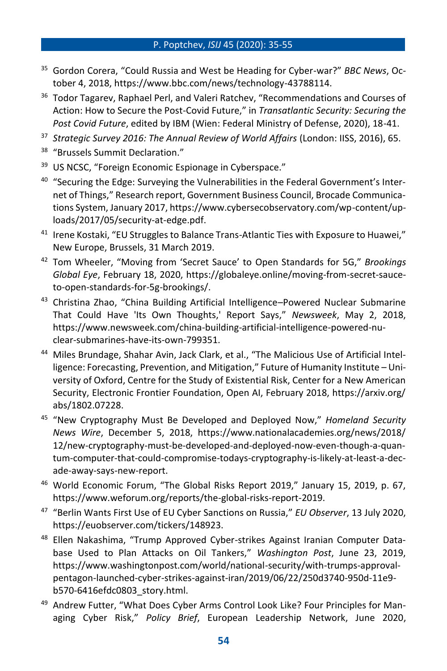- <sup>35</sup> Gordon Corera, "Could Russia and West be Heading for Cyber-war?" *BBC News*, October 4, 2018, https://www.bbc.com/news/technology-43788114.
- <sup>36</sup> Todor Tagarev, Raphael Perl, and Valeri Ratchev, "Recommendations and Courses of Action: How to Secure the Post-Covid Future," in *Transatlantic Security: Securing the Post Covid Future*, edited by IBM (Wien: Federal Ministry of Defense, 2020), 18-41.
- <sup>37</sup> *Strategic Survey 2016: The Annual Review of World Affairs* (London: IISS, 2016), 65.
- <sup>38</sup> "Brussels Summit Declaration."
- <sup>39</sup> US NCSC, "Foreign Economic Espionage in Cyberspace."
- <sup>40</sup> "Securing the Edge: Surveying the Vulnerabilities in the Federal Government's Internet of Things," Research report, Government Business Council, Brocade Communications System, January 2017, https://www.cybersecobservatory.com/wp-content/uploads/2017/05/security-at-edge.pdf.
- <sup>41</sup> Irene Kostaki, "EU Struggles to Balance Trans-Atlantic Ties with Exposure to Huawei," New Europe, Brussels, 31 March 2019.
- <sup>42</sup> Tom Wheeler, "Moving from 'Secret Sauce' to Open Standards for 5G," *Brookings Global Eye*, February 18, 2020, https://globaleye.online/moving-from-secret-sauceto-open-standards-for-5g-brookings/.
- <sup>43</sup> Christina Zhao, "China Building Artificial Intelligence–Powered Nuclear Submarine That Could Have 'Its Own Thoughts,' Report Says," *Newsweek*, May 2, 2018, https://www.newsweek.com/china-building-artificial-intelligence-powered-nuclear-submarines-have-its-own-799351.
- <sup>44</sup> Miles Brundage, Shahar Avin, Jack Clark, et al., "The Malicious Use of Artificial Intelligence: Forecasting, Prevention, and Mitigation," Future of Humanity Institute – University of Oxford, Centre for the Study of Existential Risk, Center for a New American Security, Electronic Frontier Foundation, Open AI, February 2018, https://arxiv.org/ abs/1802.07228.
- <sup>45</sup> "New Cryptography Must Be Developed and Deployed Now," *Homeland Security News Wire*, December 5, 2018, https://www.nationalacademies.org/news/2018/ 12/new-cryptography-must-be-developed-and-deployed-now-even-though-a-quantum-computer-that-could-compromise-todays-cryptography-is-likely-at-least-a-decade-away-says-new-report.
- <sup>46</sup> World Economic Forum, "The Global Risks Report 2019," January 15, 2019, p. 67, https://www.weforum.org/reports/the-global-risks-report-2019.
- <sup>47</sup> "Berlin Wants First Use of EU Cyber Sanctions on Russia," *EU Observer*, 13 July 2020, https://euobserver.com/tickers/148923.
- <sup>48</sup> Ellen Nakashima, "Trump Approved Cyber-strikes Against Iranian Computer Database Used to Plan Attacks on Oil Tankers," *Washington Post*, June 23, 2019, https://www.washingtonpost.com/world/national-security/with-trumps-approvalpentagon-launched-cyber-strikes-against-iran/2019/06/22/250d3740-950d-11e9 b570-6416efdc0803\_story.html.
- <sup>49</sup> Andrew Futter, "What Does Cyber Arms Control Look Like? Four Principles for Managing Cyber Risk," *Policy Brief*, European Leadership Network, June 2020,